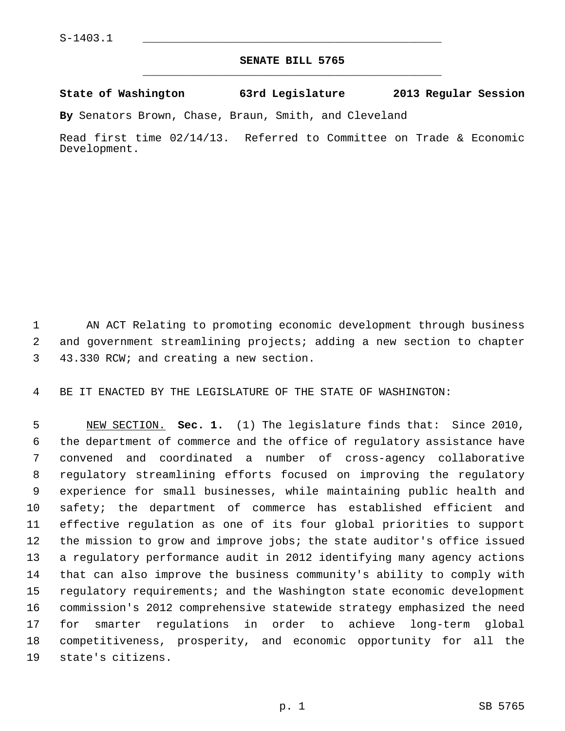## **SENATE BILL 5765** \_\_\_\_\_\_\_\_\_\_\_\_\_\_\_\_\_\_\_\_\_\_\_\_\_\_\_\_\_\_\_\_\_\_\_\_\_\_\_\_\_\_\_\_\_

**State of Washington 63rd Legislature 2013 Regular Session**

**By** Senators Brown, Chase, Braun, Smith, and Cleveland

Read first time 02/14/13. Referred to Committee on Trade & Economic Development.

 1 AN ACT Relating to promoting economic development through business 2 and government streamlining projects; adding a new section to chapter 3 43.330 RCW; and creating a new section.

4 BE IT ENACTED BY THE LEGISLATURE OF THE STATE OF WASHINGTON:

 5 NEW SECTION. **Sec. 1.** (1) The legislature finds that: Since 2010, 6 the department of commerce and the office of regulatory assistance have 7 convened and coordinated a number of cross-agency collaborative 8 regulatory streamlining efforts focused on improving the regulatory 9 experience for small businesses, while maintaining public health and 10 safety; the department of commerce has established efficient and 11 effective regulation as one of its four global priorities to support 12 the mission to grow and improve jobs; the state auditor's office issued 13 a regulatory performance audit in 2012 identifying many agency actions 14 that can also improve the business community's ability to comply with 15 regulatory requirements; and the Washington state economic development 16 commission's 2012 comprehensive statewide strategy emphasized the need 17 for smarter regulations in order to achieve long-term global 18 competitiveness, prosperity, and economic opportunity for all the 19 state's citizens.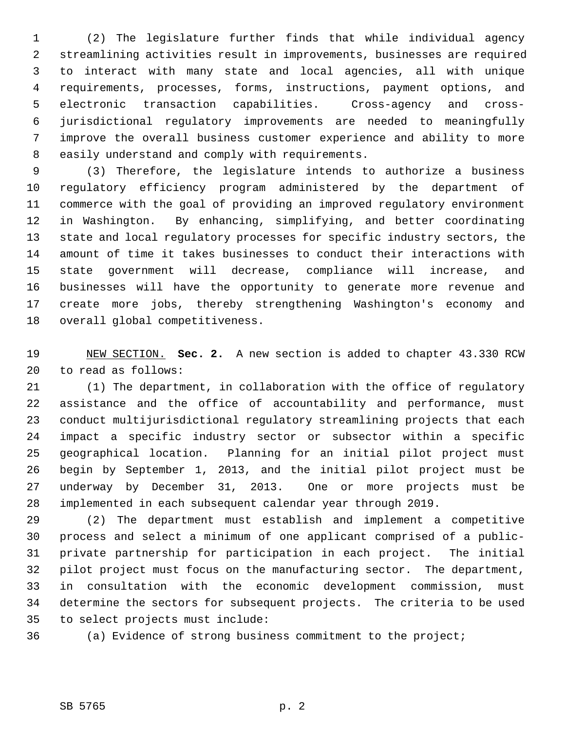1 (2) The legislature further finds that while individual agency 2 streamlining activities result in improvements, businesses are required 3 to interact with many state and local agencies, all with unique 4 requirements, processes, forms, instructions, payment options, and 5 electronic transaction capabilities. Cross-agency and cross- 6 jurisdictional regulatory improvements are needed to meaningfully 7 improve the overall business customer experience and ability to more 8 easily understand and comply with requirements.

 9 (3) Therefore, the legislature intends to authorize a business 10 regulatory efficiency program administered by the department of 11 commerce with the goal of providing an improved regulatory environment 12 in Washington. By enhancing, simplifying, and better coordinating 13 state and local regulatory processes for specific industry sectors, the 14 amount of time it takes businesses to conduct their interactions with 15 state government will decrease, compliance will increase, and 16 businesses will have the opportunity to generate more revenue and 17 create more jobs, thereby strengthening Washington's economy and 18 overall global competitiveness.

19 NEW SECTION. **Sec. 2.** A new section is added to chapter 43.330 RCW 20 to read as follows:

21 (1) The department, in collaboration with the office of regulatory 22 assistance and the office of accountability and performance, must 23 conduct multijurisdictional regulatory streamlining projects that each 24 impact a specific industry sector or subsector within a specific 25 geographical location. Planning for an initial pilot project must 26 begin by September 1, 2013, and the initial pilot project must be 27 underway by December 31, 2013. One or more projects must be 28 implemented in each subsequent calendar year through 2019.

29 (2) The department must establish and implement a competitive 30 process and select a minimum of one applicant comprised of a public-31 private partnership for participation in each project. The initial 32 pilot project must focus on the manufacturing sector. The department, 33 in consultation with the economic development commission, must 34 determine the sectors for subsequent projects. The criteria to be used 35 to select projects must include:

36 (a) Evidence of strong business commitment to the project;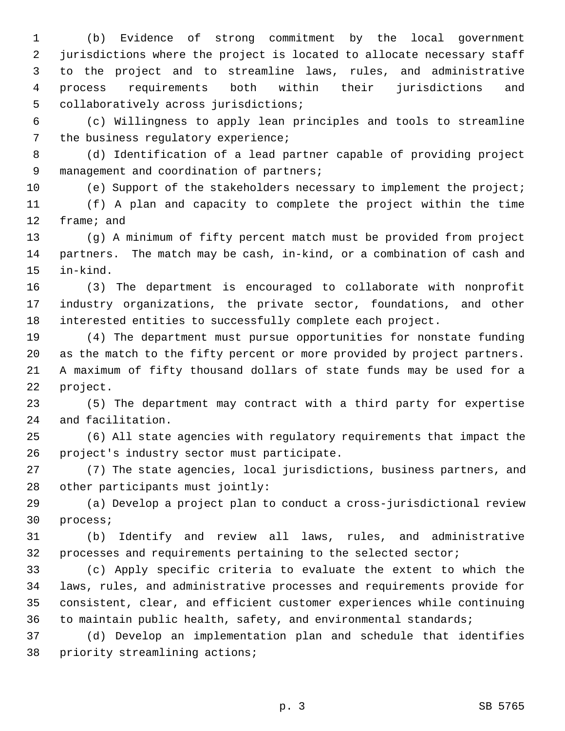1 (b) Evidence of strong commitment by the local government 2 jurisdictions where the project is located to allocate necessary staff 3 to the project and to streamline laws, rules, and administrative 4 process requirements both within their jurisdictions and 5 collaboratively across jurisdictions;

 6 (c) Willingness to apply lean principles and tools to streamline 7 the business regulatory experience;

 8 (d) Identification of a lead partner capable of providing project 9 management and coordination of partners;

10 (e) Support of the stakeholders necessary to implement the project;

11 (f) A plan and capacity to complete the project within the time 12 frame; and

13 (g) A minimum of fifty percent match must be provided from project 14 partners. The match may be cash, in-kind, or a combination of cash and 15 in-kind.

16 (3) The department is encouraged to collaborate with nonprofit 17 industry organizations, the private sector, foundations, and other 18 interested entities to successfully complete each project.

19 (4) The department must pursue opportunities for nonstate funding 20 as the match to the fifty percent or more provided by project partners. 21 A maximum of fifty thousand dollars of state funds may be used for a 22 project.

23 (5) The department may contract with a third party for expertise 24 and facilitation.

25 (6) All state agencies with regulatory requirements that impact the 26 project's industry sector must participate.

27 (7) The state agencies, local jurisdictions, business partners, and 28 other participants must jointly:

29 (a) Develop a project plan to conduct a cross-jurisdictional review 30 process;

31 (b) Identify and review all laws, rules, and administrative 32 processes and requirements pertaining to the selected sector;

33 (c) Apply specific criteria to evaluate the extent to which the 34 laws, rules, and administrative processes and requirements provide for 35 consistent, clear, and efficient customer experiences while continuing 36 to maintain public health, safety, and environmental standards;

37 (d) Develop an implementation plan and schedule that identifies 38 priority streamlining actions;